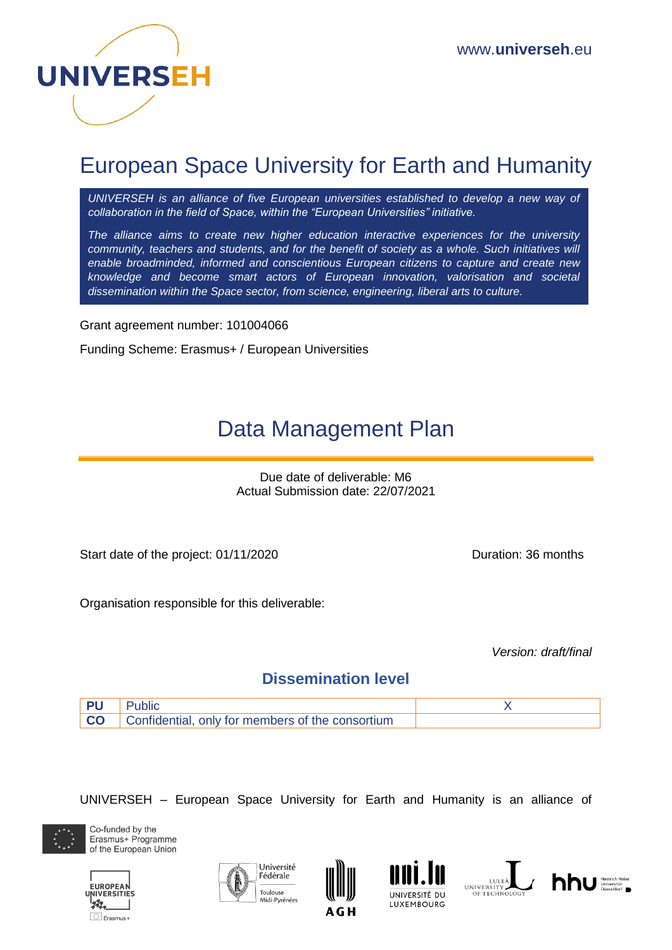

# European Space University for Earth and Humanity

*UNIVERSEH is an alliance of five European universities established to develop a new way of collaboration in the field of Space, within the "European Universities" initiative.*

*The alliance aims to create new higher education interactive experiences for the university community, teachers and students, and for the benefit of society as a whole. Such initiatives will enable broadminded, informed and conscientious European citizens to capture and create new knowledge and become smart actors of European innovation, valorisation and societal dissemination within the Space sector, from science, engineering, liberal arts to culture.*

Grant agreement number: 101004066

Funding Scheme: Erasmus+ / European Universities

# Data Management Plan

Due date of deliverable: M6 Actual Submission date: 22/07/2021

Start date of the project: 01/11/2020 Duration: 36 months

Organisation responsible for this deliverable:

*Version: draft/final* 

#### **Dissemination level**



UNIVERSEH – European Space University for Earth and Humanity is an alliance of













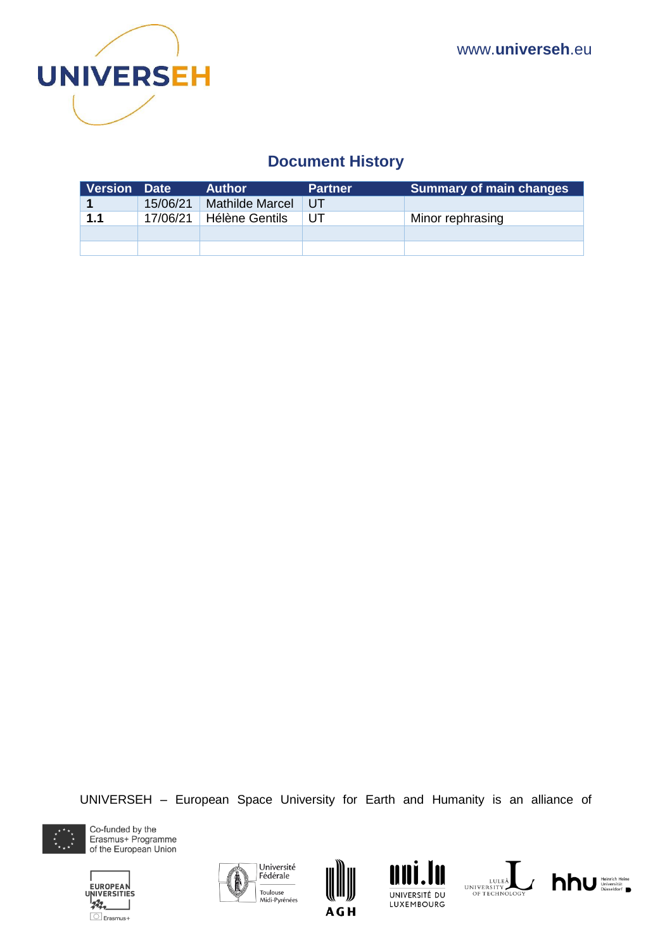

## **Document History**

| <b>Version Date</b> |          | <b>Author</b>         | <b>Partner</b> | <b>Summary of main changes</b> |
|---------------------|----------|-----------------------|----------------|--------------------------------|
|                     | 15/06/21 | Mathilde Marcel       | UT.            |                                |
| 1.1                 | 17/06/21 | <b>Hélène Gentils</b> | UT             | Minor rephrasing               |
|                     |          |                       |                |                                |
|                     |          |                       |                |                                |

UNIVERSEH – European Space University for Earth and Humanity is an alliance of













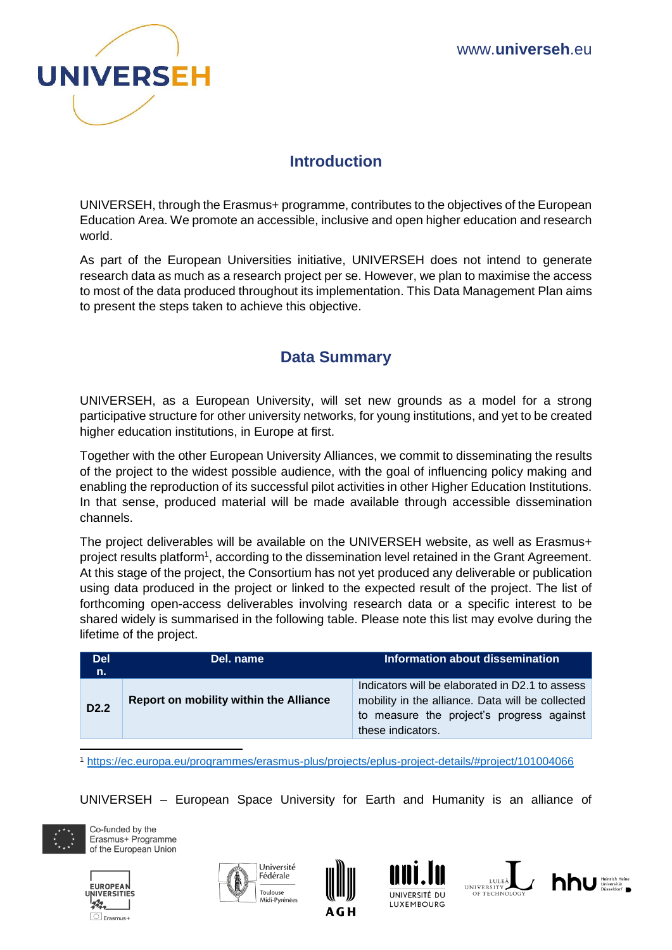

## **Introduction**

UNIVERSEH, through the Erasmus+ programme, contributes to the objectives of the European Education Area. We promote an accessible, inclusive and open higher education and research world.

As part of the European Universities initiative, UNIVERSEH does not intend to generate research data as much as a research project per se. However, we plan to maximise the access to most of the data produced throughout its implementation. This Data Management Plan aims to present the steps taken to achieve this objective.

### **Data Summary**

UNIVERSEH, as a European University, will set new grounds as a model for a strong participative structure for other university networks, for young institutions, and yet to be created higher education institutions, in Europe at first.

Together with the other European University Alliances, we commit to disseminating the results of the project to the widest possible audience, with the goal of influencing policy making and enabling the reproduction of its successful pilot activities in other Higher Education Institutions. In that sense, produced material will be made available through accessible dissemination channels.

The project deliverables will be available on the UNIVERSEH website, as well as Erasmus+ project results platform<sup>1</sup>, according to the dissemination level retained in the Grant Agreement. At this stage of the project, the Consortium has not yet produced any deliverable or publication using data produced in the project or linked to the expected result of the project. The list of forthcoming open-access deliverables involving research data or a specific interest to be shared widely is summarised in the following table. Please note this list may evolve during the lifetime of the project.

| <b>Del</b><br>n. | Del. name                              | Information about dissemination                                                                                                                                       |
|------------------|----------------------------------------|-----------------------------------------------------------------------------------------------------------------------------------------------------------------------|
| D2.2             | Report on mobility within the Alliance | Indicators will be elaborated in D2.1 to assess<br>mobility in the alliance. Data will be collected<br>to measure the project's progress against<br>these indicators. |
|                  |                                        |                                                                                                                                                                       |

<sup>1</sup> <https://ec.europa.eu/programmes/erasmus-plus/projects/eplus-project-details/#project/101004066>

UNIVERSEH – European Space University for Earth and Humanity is an alliance of











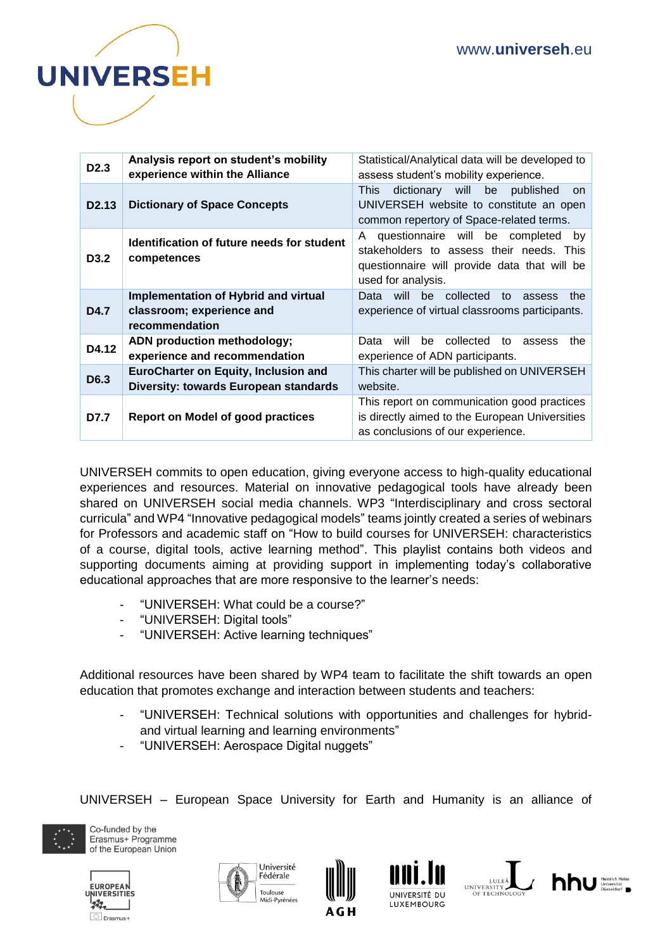

| D <sub>2.3</sub>  | Analysis report on student's mobility<br>experience within the Alliance                                                                                                                                                   | Statistical/Analytical data will be developed to<br>assess student's mobility experience.                                                    |  |
|-------------------|---------------------------------------------------------------------------------------------------------------------------------------------------------------------------------------------------------------------------|----------------------------------------------------------------------------------------------------------------------------------------------|--|
| D <sub>2.13</sub> | <b>Dictionary of Space Concepts</b>                                                                                                                                                                                       | dictionary will be<br><b>This</b><br>published<br>on.<br>UNIVERSEH website to constitute an open<br>common repertory of Space-related terms. |  |
| D <sub>3.2</sub>  | questionnaire will be completed<br>A<br>by<br>Identification of future needs for student<br>stakeholders to assess their needs. This<br>competences<br>questionnaire will provide data that will be<br>used for analysis. |                                                                                                                                              |  |
| D4.7              | Implementation of Hybrid and virtual<br>classroom; experience and<br>recommendation                                                                                                                                       | will<br>be collected to<br>Data<br>the<br>assess<br>experience of virtual classrooms participants.                                           |  |
| D4.12             | ADN production methodology;<br>experience and recommendation                                                                                                                                                              | Data<br>be<br>collected<br>will<br>to<br>the<br>assess<br>experience of ADN participants.                                                    |  |
| D6.3              | <b>EuroCharter on Equity, Inclusion and</b><br>Diversity: towards European standards                                                                                                                                      | This charter will be published on UNIVERSEH<br>website.                                                                                      |  |
| D7.7              | <b>Report on Model of good practices</b>                                                                                                                                                                                  | This report on communication good practices<br>is directly aimed to the European Universities<br>as conclusions of our experience.           |  |

UNIVERSEH commits to open education, giving everyone access to high-quality educational experiences and resources. Material on innovative pedagogical tools have already been shared on UNIVERSEH social media channels. WP3 "Interdisciplinary and cross sectoral curricula" and WP4 "Innovative pedagogical models" teams jointly created a series of webinars for Professors and academic staff on "How to build courses for UNIVERSEH: characteristics of a course, digital tools, active learning method". This playlist contains both videos and supporting documents aiming at providing support in implementing today's collaborative educational approaches that are more responsive to the learner's needs:

- "UNIVERSEH: What could be a course?"
- "UNIVERSEH: Digital tools"
- "UNIVERSEH: Active learning techniques"

Additional resources have been shared by WP4 team to facilitate the shift towards an open education that promotes exchange and interaction between students and teachers:

- "UNIVERSEH: Technical solutions with opportunities and challenges for hybridand virtual learning and learning environments"
- "UNIVERSEH: Aerospace Digital nuggets"

UNIVERSEH – European Space University for Earth and Humanity is an alliance of













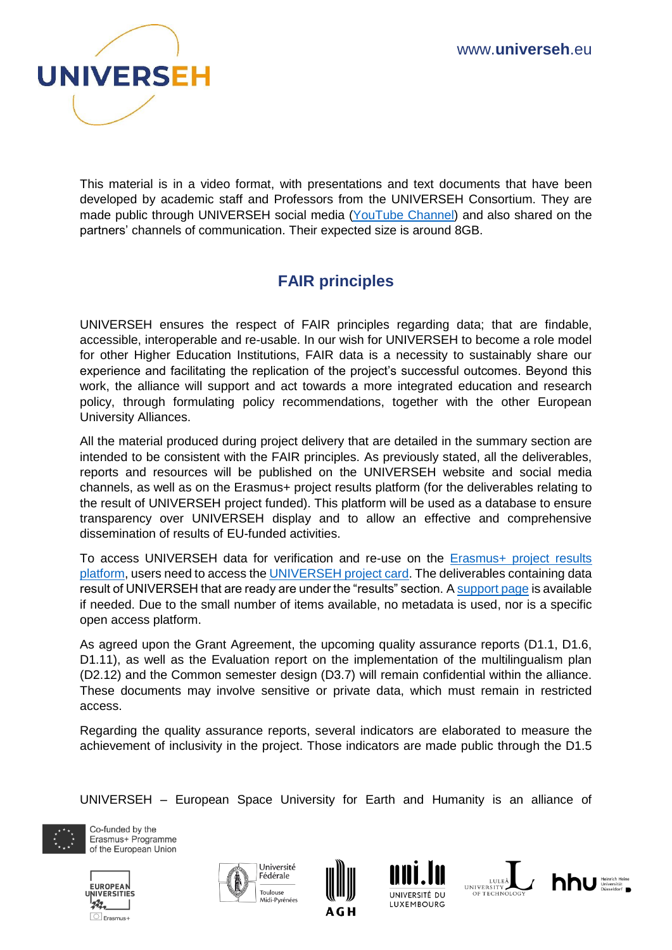

This material is in a video format, with presentations and text documents that have been developed by academic staff and Professors from the UNIVERSEH Consortium. They are made public through UNIVERSEH social media [\(YouTube](https://www.youtube.com/channel/UCaC1Wya0oErjX9b61kqAKPw/videos) Channel) and also shared on the partners' channels of communication. Their expected size is around 8GB.

# **FAIR principles**

UNIVERSEH ensures the respect of FAIR principles regarding data; that are findable, accessible, interoperable and re-usable. In our wish for UNIVERSEH to become a role model for other Higher Education Institutions, FAIR data is a necessity to sustainably share our experience and facilitating the replication of the project's successful outcomes. Beyond this work, the alliance will support and act towards a more integrated education and research policy, through formulating policy recommendations, together with the other European University Alliances.

All the material produced during project delivery that are detailed in the summary section are intended to be consistent with the FAIR principles. As previously stated, all the deliverables, reports and resources will be published on the UNIVERSEH website and social media channels, as well as on the Erasmus+ project results platform (for the deliverables relating to the result of UNIVERSEH project funded). This platform will be used as a database to ensure transparency over UNIVERSEH display and to allow an effective and comprehensive dissemination of results of EU-funded activities.

To access UNIVERSEH data for verification and re-use on the **Erasmus+** project results [platform,](https://ec.europa.eu/programmes/erasmus-plus/projects_en) users need to access th[e UNIVERSEH project card.](https://ec.europa.eu/programmes/erasmus-plus/projects/eplus-project-details/#project/101004066) The deliverables containing data result of UNIVERSEH that are ready are under the "results" section. A [support page](https://ec.europa.eu/programmes/erasmus-plus/projects/faq_en) is available if needed. Due to the small number of items available, no metadata is used, nor is a specific open access platform.

As agreed upon the Grant Agreement, the upcoming quality assurance reports (D1.1, D1.6, D1.11), as well as the Evaluation report on the implementation of the multilingualism plan (D2.12) and the Common semester design (D3.7) will remain confidential within the alliance. These documents may involve sensitive or private data, which must remain in restricted access.

Regarding the quality assurance reports, several indicators are elaborated to measure the achievement of inclusivity in the project. Those indicators are made public through the D1.5

UNIVERSEH – European Space University for Earth and Humanity is an alliance of













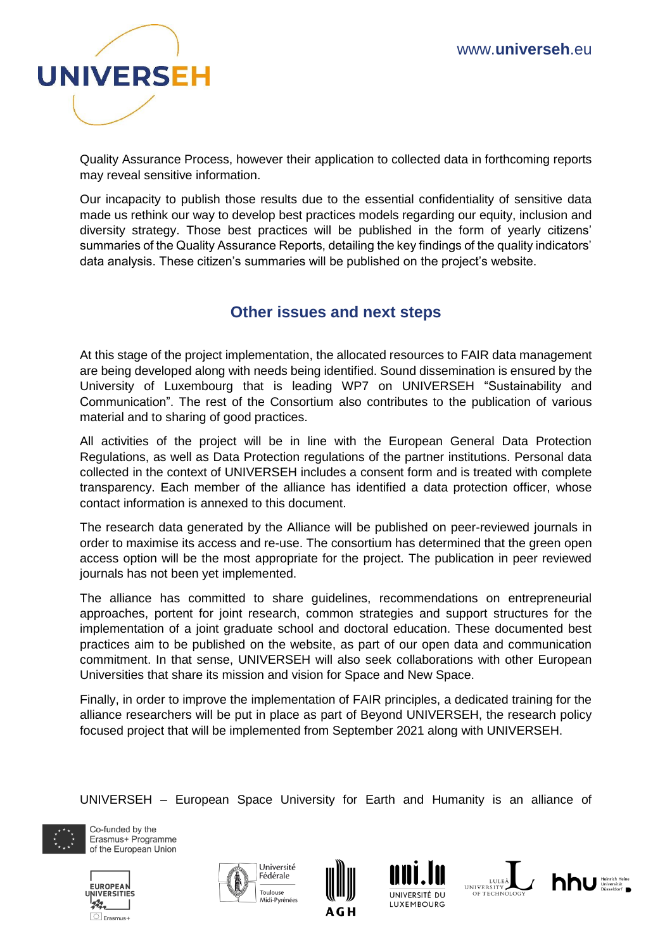

Quality Assurance Process, however their application to collected data in forthcoming reports may reveal sensitive information.

Our incapacity to publish those results due to the essential confidentiality of sensitive data made us rethink our way to develop best practices models regarding our equity, inclusion and diversity strategy. Those best practices will be published in the form of yearly citizens' summaries of the Quality Assurance Reports, detailing the key findings of the quality indicators' data analysis. These citizen's summaries will be published on the project's website.

#### **Other issues and next steps**

At this stage of the project implementation, the allocated resources to FAIR data management are being developed along with needs being identified. Sound dissemination is ensured by the University of Luxembourg that is leading WP7 on UNIVERSEH "Sustainability and Communication". The rest of the Consortium also contributes to the publication of various material and to sharing of good practices.

All activities of the project will be in line with the European General Data Protection Regulations, as well as Data Protection regulations of the partner institutions. Personal data collected in the context of UNIVERSEH includes a consent form and is treated with complete transparency. Each member of the alliance has identified a data protection officer, whose contact information is annexed to this document.

The research data generated by the Alliance will be published on peer-reviewed journals in order to maximise its access and re-use. The consortium has determined that the green open access option will be the most appropriate for the project. The publication in peer reviewed journals has not been yet implemented.

The alliance has committed to share guidelines, recommendations on entrepreneurial approaches, portent for joint research, common strategies and support structures for the implementation of a joint graduate school and doctoral education. These documented best practices aim to be published on the website, as part of our open data and communication commitment. In that sense, UNIVERSEH will also seek collaborations with other European Universities that share its mission and vision for Space and New Space.

Finally, in order to improve the implementation of FAIR principles, a dedicated training for the alliance researchers will be put in place as part of Beyond UNIVERSEH, the research policy focused project that will be implemented from September 2021 along with UNIVERSEH.

UNIVERSEH – European Space University for Earth and Humanity is an alliance of